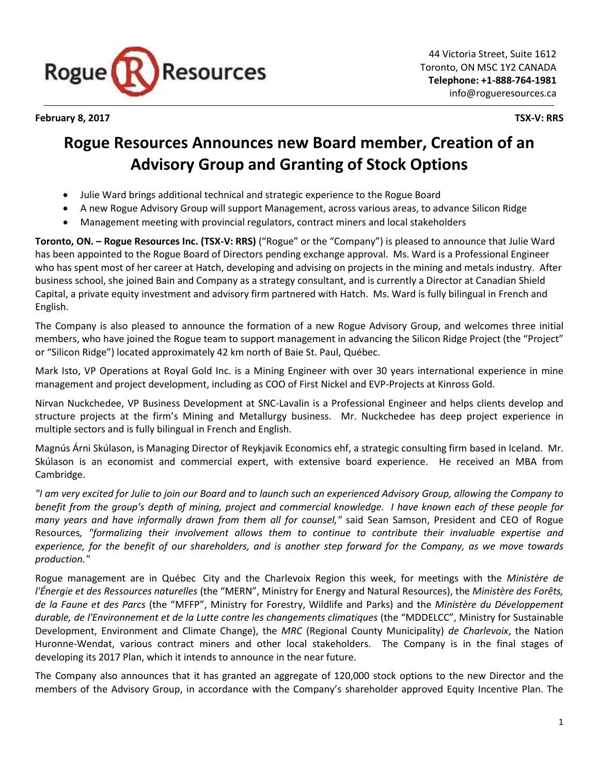

**February 8, 2017 TSX-V: RRS**

# **Rogue Resources Announces new Board member, Creation of an Advisory Group and Granting of Stock Options**

- Julie Ward brings additional technical and strategic experience to the Rogue Board
- A new Rogue Advisory Group will support Management, across various areas, to advance Silicon Ridge
- Management meeting with provincial regulators, contract miners and local stakeholders

**Toronto, ON. – Rogue Resources Inc. (TSX-V: RRS)** ("Rogue" or the "Company") is pleased to announce that Julie Ward has been appointed to the Rogue Board of Directors pending exchange approval. Ms. Ward is a Professional Engineer who has spent most of her career at Hatch, developing and advising on projects in the mining and metals industry. After business school, she joined Bain and Company as a strategy consultant, and is currently a Director at Canadian Shield Capital, a private equity investment and advisory firm partnered with Hatch. Ms. Ward is fully bilingual in French and English.

The Company is also pleased to announce the formation of a new Rogue Advisory Group, and welcomes three initial members, who have joined the Rogue team to support management in advancing the Silicon Ridge Project (the "Project" or "Silicon Ridge") located approximately 42 km north of Baie St. Paul, Québec.

Mark Isto, VP Operations at Royal Gold Inc. is a Mining Engineer with over 30 years international experience in mine management and project development, including as COO of First Nickel and EVP-Projects at Kinross Gold.

Nirvan Nuckchedee, VP Business Development at SNC-Lavalin is a Professional Engineer and helps clients develop and structure projects at the firm's Mining and Metallurgy business. Mr. Nuckchedee has deep project experience in multiple sectors and is fully bilingual in French and English.

Magnús Árni Skúlason, is Managing Director of Reykjavik Economics ehf, a strategic consulting firm based in Iceland. Mr. Skúlason is an economist and commercial expert, with extensive board experience. He received an MBA from Cambridge.

*"I am very excited for Julie to join our Board and to launch such an experienced Advisory Group, allowing the Company to benefit from the group's depth of mining, project and commercial knowledge. I have known each of these people for many years and have informally drawn from them all for counsel,"* said Sean Samson, President and CEO of Rogue Resources*, "formalizing their involvement allows them to continue to contribute their invaluable expertise and experience, for the benefit of our shareholders, and is another step forward for the Company, as we move towards production."*

Rogue management are in Québec City and the Charlevoix Region this week, for meetings with the *[Ministère de](https://mern.gouv.qc.ca/en/)  [l'Énergie et des Ressources naturelles](https://mern.gouv.qc.ca/en/)* (the "MERN", Ministry for Energy and Natural Resources), the *Ministère des Forêts, de la Faune et des Parcs* (the "MFFP", Ministry for Forestry, Wildlife and Parks) and the *Ministère du Développement durable, de l'Environnement et de la Lutte contre les changements climatiques* (the "MDDELCC", Ministry for Sustainable Development, Environment and Climate Change), the *MRC* (Regional County Municipality) *de Charlevoix*, the Nation Huronne-Wendat, various contract miners and other local stakeholders. The Company is in the final stages of developing its 2017 Plan, which it intends to announce in the near future.

The Company also announces that it has granted an aggregate of 120,000 stock options to the new Director and the members of the Advisory Group, in accordance with the Company's shareholder approved Equity Incentive Plan. The